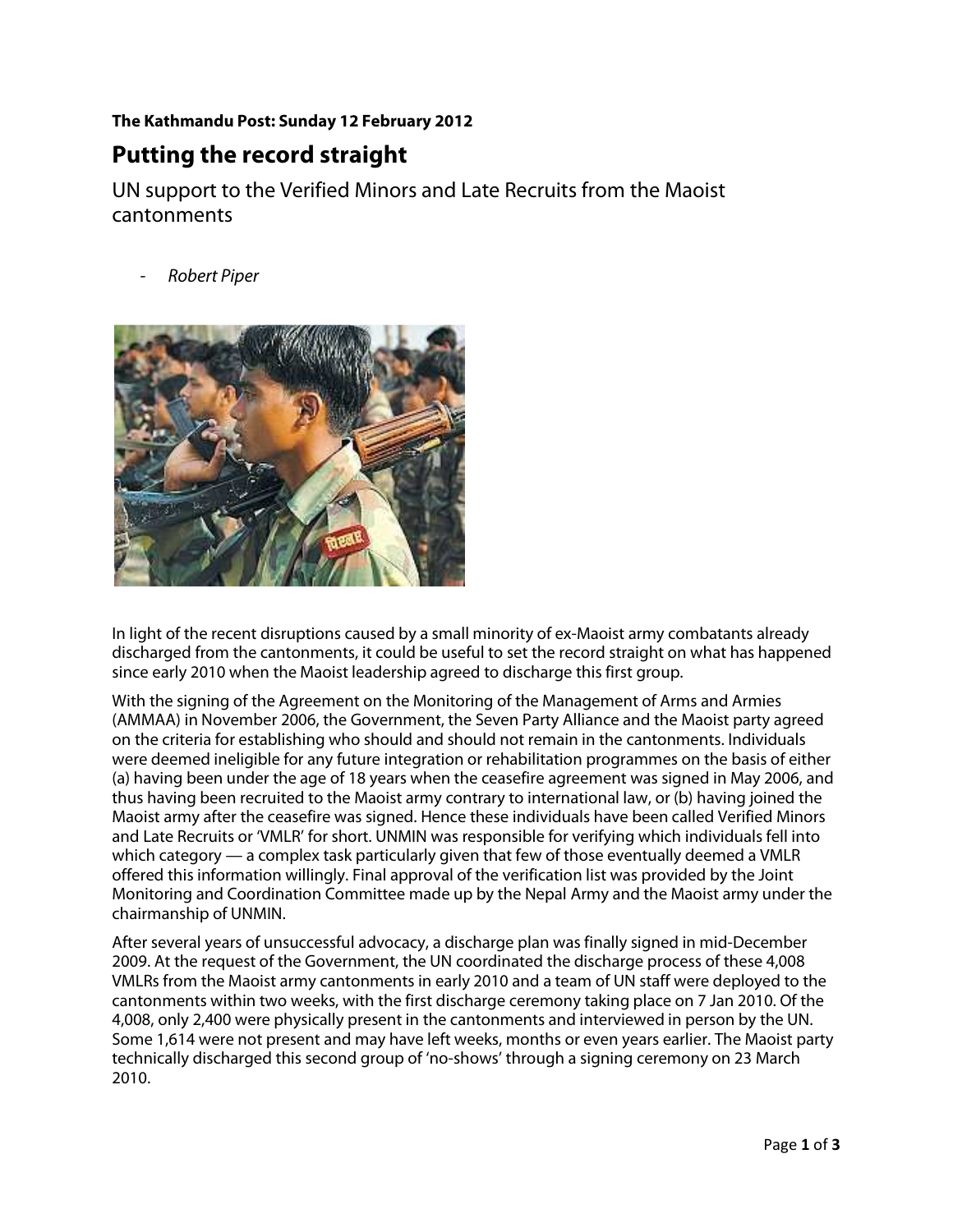## **The Kathmandu Post: Sunday 12 February 2012**

## **Putting the record straight**

UN support to the Verified Minors and Late Recruits from the Maoist cantonments

**Robert Piper** 



In light of the recent disruptions caused by a small minority of ex-Maoist army combatants already discharged from the cantonments, it could be useful to set the record straight on what has happened since early 2010 when the Maoist leadership agreed to discharge this first group.

With the signing of the Agreement on the Monitoring of the Management of Arms and Armies (AMMAA) in November 2006, the Government, the Seven Party Alliance and the Maoist party agreed on the criteria for establishing who should and should not remain in the cantonments. Individuals were deemed ineligible for any future integration or rehabilitation programmes on the basis of either (a) having been under the age of 18 years when the ceasefire agreement was signed in May 2006, and thus having been recruited to the Maoist army contrary to international law, or (b) having joined the Maoist army after the ceasefire was signed. Hence these individuals have been called Verified Minors and Late Recruits or 'VMLR' for short. UNMIN was responsible for verifying which individuals fell into which category — a complex task particularly given that few of those eventually deemed a VMLR offered this information willingly. Final approval of the verification list was provided by the Joint Monitoring and Coordination Committee made up by the Nepal Army and the Maoist army under the chairmanship of UNMIN.

After several years of unsuccessful advocacy, a discharge plan was finally signed in mid-December 2009. At the request of the Government, the UN coordinated the discharge process of these 4,008 VMLRs from the Maoist army cantonments in early 2010 and a team of UN staff were deployed to the cantonments within two weeks, with the first discharge ceremony taking place on 7 Jan 2010. Of the 4,008, only 2,400 were physically present in the cantonments and interviewed in person by the UN. Some 1,614 were not present and may have left weeks, months or even years earlier. The Maoist party technically discharged this second group of 'no-shows' through a signing ceremony on 23 March 2010.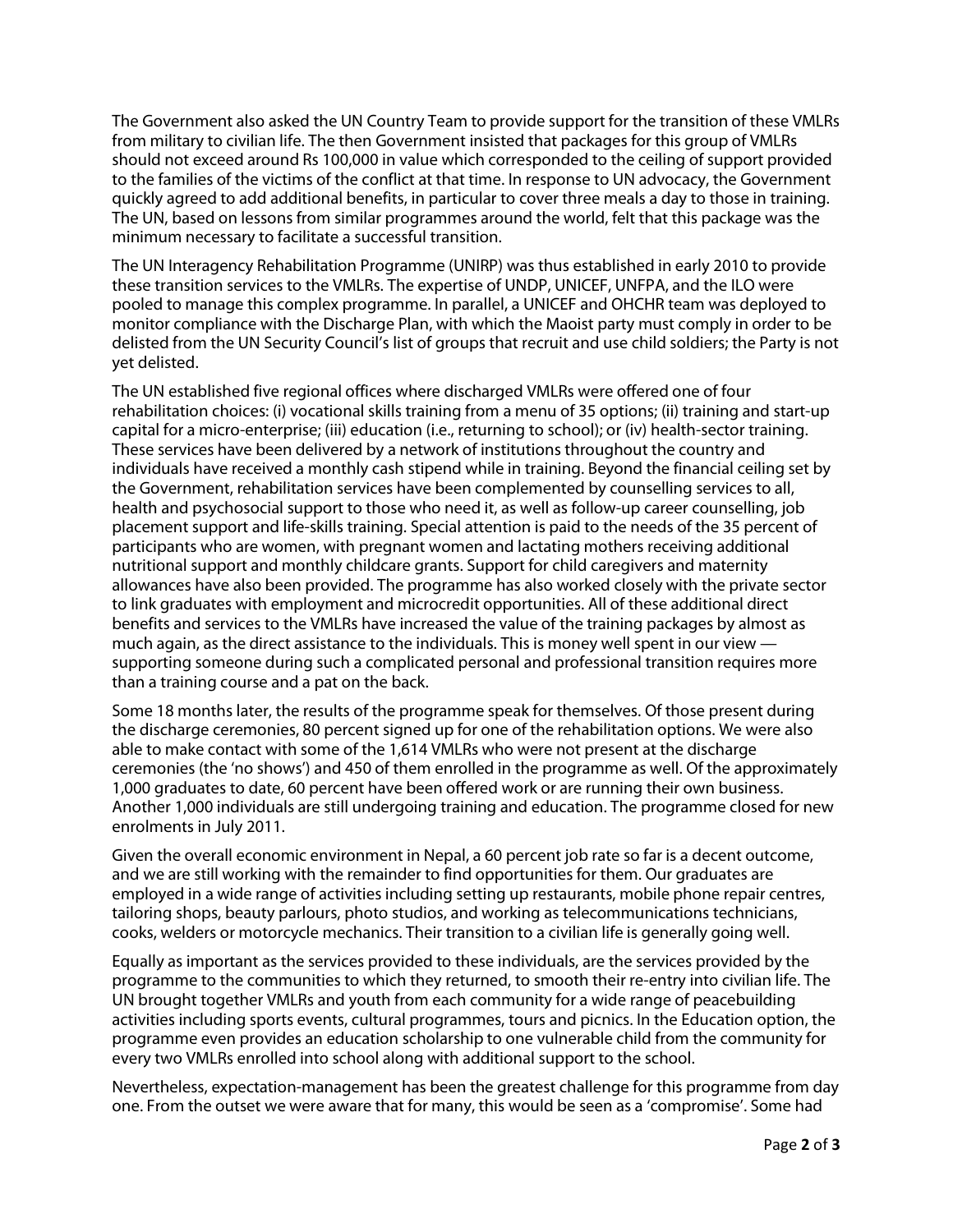The Government also asked the UN Country Team to provide support for the transition of these VMLRs from military to civilian life. The then Government insisted that packages for this group of VMLRs should not exceed around Rs 100,000 in value which corresponded to the ceiling of support provided to the families of the victims of the conflict at that time. In response to UN advocacy, the Government quickly agreed to add additional benefits, in particular to cover three meals a day to those in training. The UN, based on lessons from similar programmes around the world, felt that this package was the minimum necessary to facilitate a successful transition.

The UN Interagency Rehabilitation Programme (UNIRP) was thus established in early 2010 to provide these transition services to the VMLRs. The expertise of UNDP, UNICEF, UNFPA, and the ILO were pooled to manage this complex programme. In parallel, a UNICEF and OHCHR team was deployed to monitor compliance with the Discharge Plan, with which the Maoist party must comply in order to be delisted from the UN Security Council's list of groups that recruit and use child soldiers; the Party is not yet delisted.

The UN established five regional offices where discharged VMLRs were offered one of four rehabilitation choices: (i) vocational skills training from a menu of 35 options; (ii) training and start-up capital for a micro-enterprise; (iii) education (i.e., returning to school); or (iv) health-sector training. These services have been delivered by a network of institutions throughout the country and individuals have received a monthly cash stipend while in training. Beyond the financial ceiling set by the Government, rehabilitation services have been complemented by counselling services to all, health and psychosocial support to those who need it, as well as follow-up career counselling, job placement support and life-skills training. Special attention is paid to the needs of the 35 percent of participants who are women, with pregnant women and lactating mothers receiving additional nutritional support and monthly childcare grants. Support for child caregivers and maternity allowances have also been provided. The programme has also worked closely with the private sector to link graduates with employment and microcredit opportunities. All of these additional direct benefits and services to the VMLRs have increased the value of the training packages by almost as much again, as the direct assistance to the individuals. This is money well spent in our view supporting someone during such a complicated personal and professional transition requires more than a training course and a pat on the back.

Some 18 months later, the results of the programme speak for themselves. Of those present during the discharge ceremonies, 80 percent signed up for one of the rehabilitation options. We were also able to make contact with some of the 1,614 VMLRs who were not present at the discharge ceremonies (the 'no shows') and 450 of them enrolled in the programme as well. Of the approximately 1,000 graduates to date, 60 percent have been offered work or are running their own business. Another 1,000 individuals are still undergoing training and education. The programme closed for new enrolments in July 2011.

Given the overall economic environment in Nepal, a 60 percent job rate so far is a decent outcome, and we are still working with the remainder to find opportunities for them. Our graduates are employed in a wide range of activities including setting up restaurants, mobile phone repair centres, tailoring shops, beauty parlours, photo studios, and working as telecommunications technicians, cooks, welders or motorcycle mechanics. Their transition to a civilian life is generally going well.

Equally as important as the services provided to these individuals, are the services provided by the programme to the communities to which they returned, to smooth their re-entry into civilian life. The UN brought together VMLRs and youth from each community for a wide range of peacebuilding activities including sports events, cultural programmes, tours and picnics. In the Education option, the programme even provides an education scholarship to one vulnerable child from the community for every two VMLRs enrolled into school along with additional support to the school.

Nevertheless, expectation-management has been the greatest challenge for this programme from day one. From the outset we were aware that for many, this would be seen as a 'compromise'. Some had